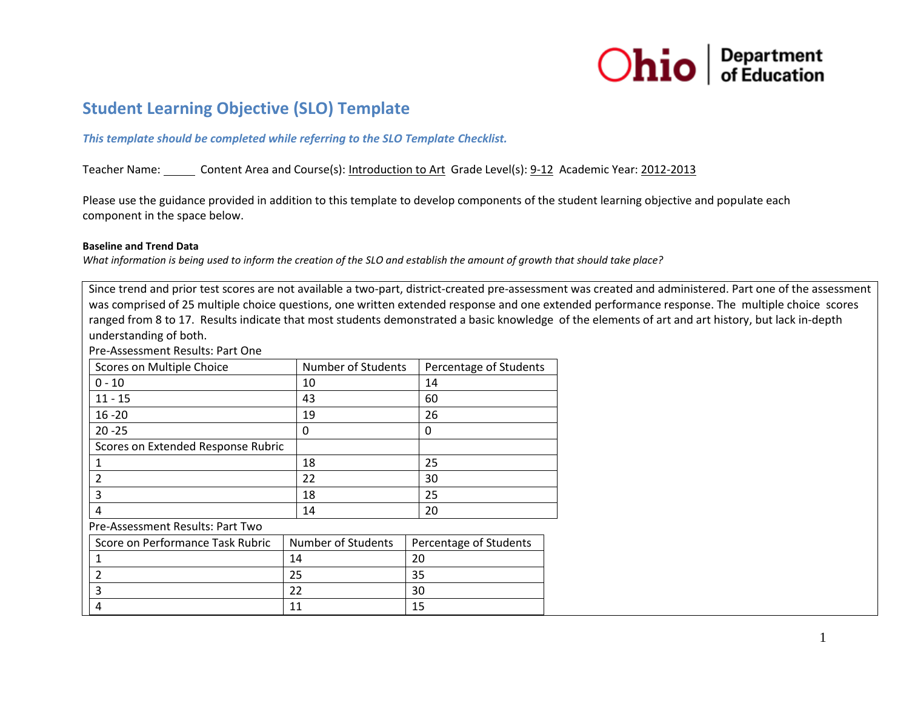

# **Student Learning Objective (SLO) Template**

# *This template should be completed while referring to the SLO Template Checklist.*

Teacher Name: Content Area and Course(s): Introduction to Art Grade Level(s): 9-12 Academic Year: 2012-2013

Please use the guidance provided in addition to this template to develop components of the student learning objective and populate each component in the space below.

#### **Baseline and Trend Data**

*What information is being used to inform the creation of the SLO and establish the amount of growth that should take place?* 

Since trend and prior test scores are not available a two-part, district-created pre-assessment was created and administered. Part one of the assessment was comprised of 25 multiple choice questions, one written extended response and one extended performance response. The multiple choice scores ranged from 8 to 17. Results indicate that most students demonstrated a basic knowledge of the elements of art and art history, but lack in-depth understanding of both.

Pre-Assessment Results: Part One

| Scores on Multiple Choice          | Number of Students | Percentage of Students |
|------------------------------------|--------------------|------------------------|
| $0 - 10$                           | 10                 | 14                     |
| $11 - 15$                          | 43                 | 60                     |
| $16 - 20$                          | 19                 | 26                     |
| $20 - 25$                          | 0                  | 0                      |
| Scores on Extended Response Rubric |                    |                        |
|                                    | 18                 | 25                     |
| 2                                  | 22                 | 30                     |
| 3                                  | 18                 | 25                     |
| 4                                  | 14                 | 20                     |
| Pre-Assessment Results: Part Two   |                    |                        |

| Score on Performance Task Rubric | Number of Students | Percentage of Students |
|----------------------------------|--------------------|------------------------|
|                                  | 14                 | 20                     |
|                                  | 25                 | 35                     |
|                                  |                    | 30                     |
|                                  | 11                 |                        |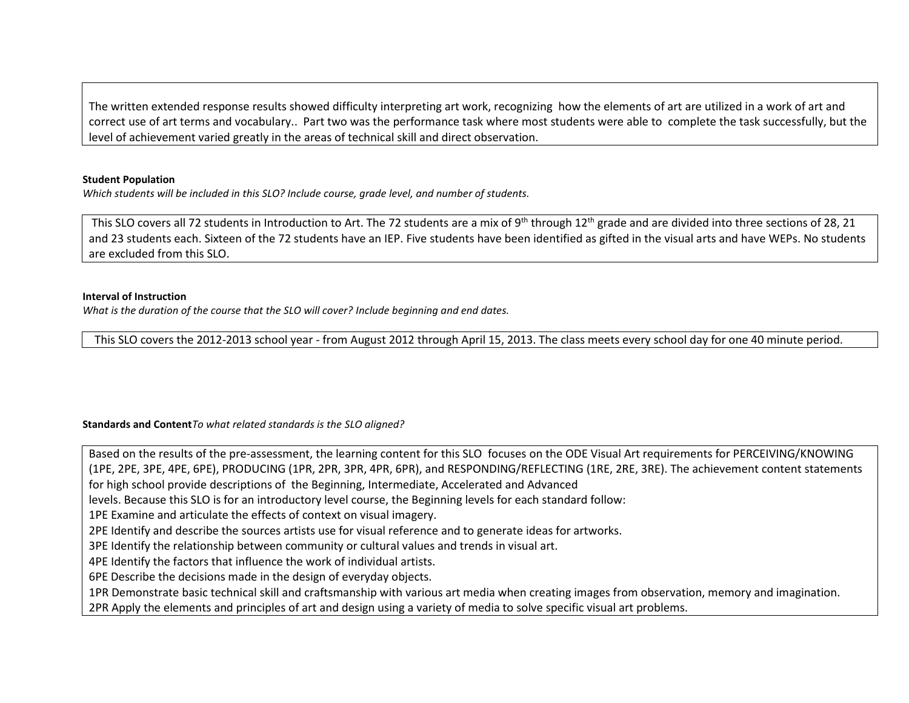The written extended response results showed difficulty interpreting art work, recognizing how the elements of art are utilized in a work of art and correct use of art terms and vocabulary.. Part two was the performance task where most students were able to complete the task successfully, but the level of achievement varied greatly in the areas of technical skill and direct observation.

#### **Student Population**

*Which students will be included in this SLO? Include course, grade level, and number of students.*

This SLO covers all 72 students in Introduction to Art. The 72 students are a mix of 9<sup>th</sup> through 12<sup>th</sup> grade and are divided into three sections of 28, 21 and 23 students each. Sixteen of the 72 students have an IEP. Five students have been identified as gifted in the visual arts and have WEPs. No students are excluded from this SLO.

#### **Interval of Instruction**

*What is the duration of the course that the SLO will cover? Include beginning and end dates.*

This SLO covers the 2012-2013 school year - from August 2012 through April 15, 2013. The class meets every school day for one 40 minute period.

## **Standards and Content***To what related standards is the SLO aligned?*

Based on the results of the pre-assessment, the learning content for this SLO focuses on the ODE Visual Art requirements for PERCEIVING/KNOWING (1PE, 2PE, 3PE, 4PE, 6PE), PRODUCING (1PR, 2PR, 3PR, 4PR, 6PR), and RESPONDING/REFLECTING (1RE, 2RE, 3RE). The achievement content statements for high school provide descriptions of the Beginning, Intermediate, Accelerated and Advanced levels. Because this SLO is for an introductory level course, the Beginning levels for each standard follow: 1PE Examine and articulate the effects of context on visual imagery. 2PE Identify and describe the sources artists use for visual reference and to generate ideas for artworks. 3PE Identify the relationship between community or cultural values and trends in visual art. 4PE Identify the factors that influence the work of individual artists. 6PE Describe the decisions made in the design of everyday objects. 1PR Demonstrate basic technical skill and craftsmanship with various art media when creating images from observation, memory and imagination. 2PR Apply the elements and principles of art and design using a variety of media to solve specific visual art problems.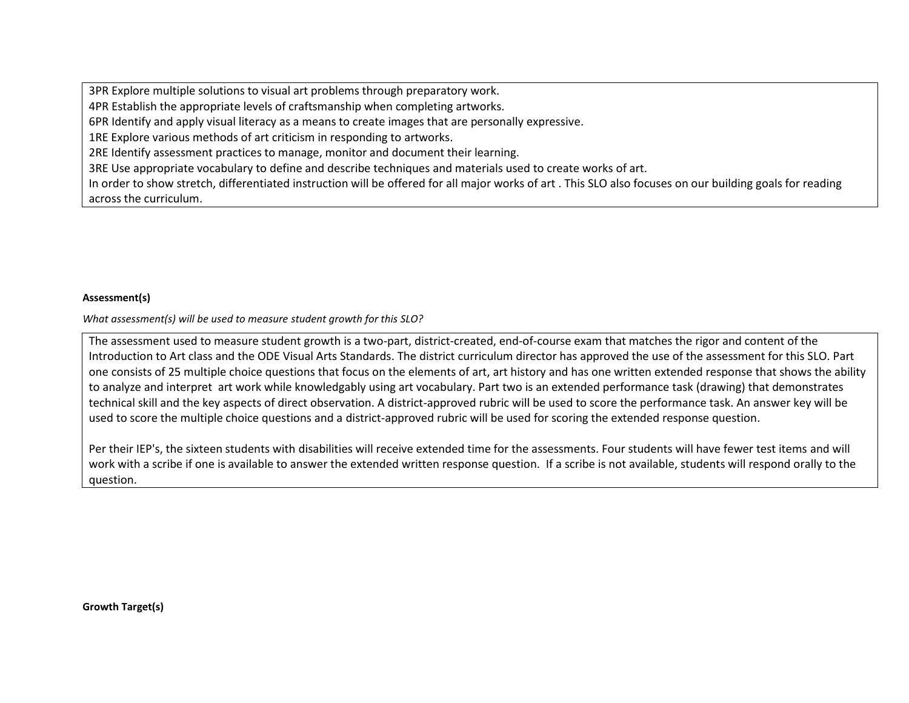3PR Explore multiple solutions to visual art problems through preparatory work.

4PR Establish the appropriate levels of craftsmanship when completing artworks.

6PR Identify and apply visual literacy as a means to create images that are personally expressive.

1RE Explore various methods of art criticism in responding to artworks.

2RE Identify assessment practices to manage, monitor and document their learning.

3RE Use appropriate vocabulary to define and describe techniques and materials used to create works of art.

In order to show stretch, differentiated instruction will be offered for all major works of art . This SLO also focuses on our building goals for reading across the curriculum.

## **Assessment(s)**

*What assessment(s) will be used to measure student growth for this SLO?* 

The assessment used to measure student growth is a two-part, district-created, end-of-course exam that matches the rigor and content of the Introduction to Art class and the ODE Visual Arts Standards. The district curriculum director has approved the use of the assessment for this SLO. Part one consists of 25 multiple choice questions that focus on the elements of art, art history and has one written extended response that shows the ability to analyze and interpret art work while knowledgably using art vocabulary. Part two is an extended performance task (drawing) that demonstrates technical skill and the key aspects of direct observation. A district-approved rubric will be used to score the performance task. An answer key will be used to score the multiple choice questions and a district-approved rubric will be used for scoring the extended response question.

Per their IEP's, the sixteen students with disabilities will receive extended time for the assessments. Four students will have fewer test items and will work with a scribe if one is available to answer the extended written response question. If a scribe is not available, students will respond orally to the question.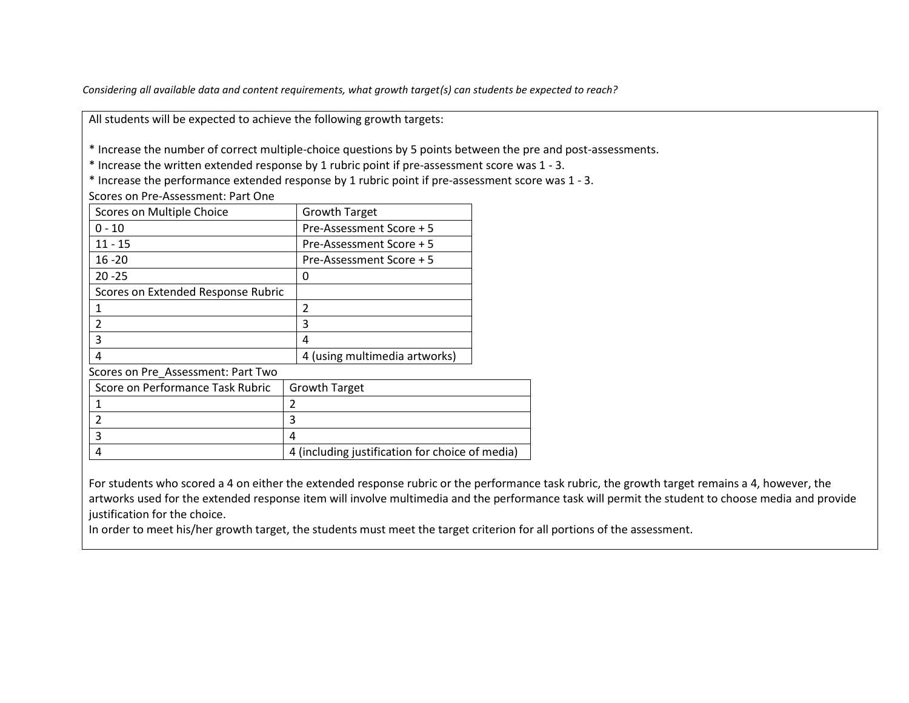*Considering all available data and content requirements, what growth target(s) can students be expected to reach?* 

All students will be expected to achieve the following growth targets:

\* Increase the number of correct multiple-choice questions by 5 points between the pre and post-assessments.

\* Increase the written extended response by 1 rubric point if pre-assessment score was 1 - 3.

\* Increase the performance extended response by 1 rubric point if pre-assessment score was 1 - 3.

Scores on Pre-Assessment: Part One

| Scores on Multiple Choice          | <b>Growth Target</b>                            |  |
|------------------------------------|-------------------------------------------------|--|
| 0 - 10                             | Pre-Assessment Score + 5                        |  |
| $11 - 15$                          | Pre-Assessment Score + 5                        |  |
| $16 - 20$                          | Pre-Assessment Score + 5                        |  |
| $20 - 25$                          | 0                                               |  |
| Scores on Extended Response Rubric |                                                 |  |
| 1                                  | 2                                               |  |
| $\overline{2}$                     | 3                                               |  |
| 3                                  | 4                                               |  |
| 4                                  | 4 (using multimedia artworks)                   |  |
| Scores on Pre_Assessment: Part Two |                                                 |  |
| Score on Performance Task Rubric   | <b>Growth Target</b>                            |  |
| 1                                  | $\overline{2}$                                  |  |
| $\overline{2}$                     | 3                                               |  |
| 3                                  | 4                                               |  |
| 4                                  | 4 (including justification for choice of media) |  |

For students who scored a 4 on either the extended response rubric or the performance task rubric, the growth target remains a 4, however, the artworks used for the extended response item will involve multimedia and the performance task will permit the student to choose media and provide justification for the choice.

In order to meet his/her growth target, the students must meet the target criterion for all portions of the assessment.